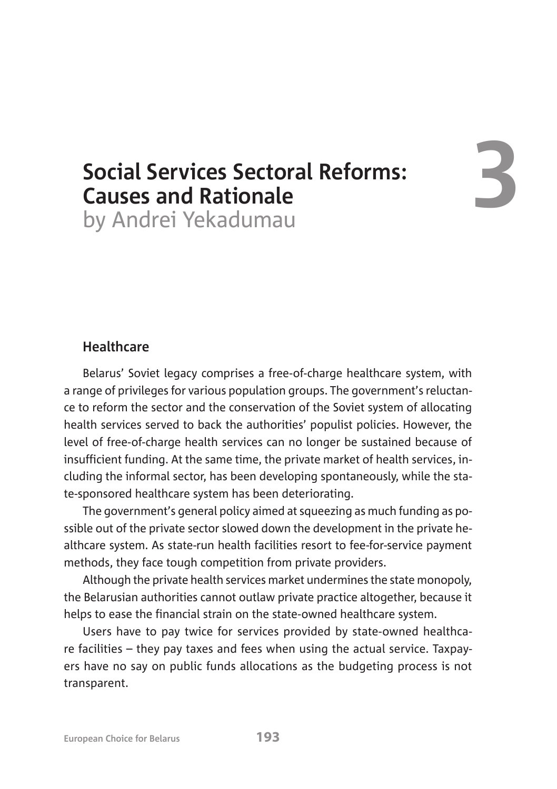## **3**

## **Social Services Sectoral Reforms: Causes and Rationale**

by Andrei Yekadumau

## **Healthcare**

Belarus' Soviet legacy comprises a free-of-charge healthcare system, with a range of privileges for various population groups. The government's reluctance to reform the sector and the conservation of the Soviet system of allocating health services served to back the authorities' populist policies. However, the level of free-of-charge health services can no longer be sustained because of insufficient funding. At the same time, the private market of health services, including the informal sector, has been developing spontaneously, while the state-sponsored healthcare system has been deteriorating.

The government's general policy aimed at squeezing as much funding as possible out of the private sector slowed down the development in the private healthcare system. As state-run health facilities resort to fee-for-service payment methods, they face tough competition from private providers.

Although the private health services market undermines the state monopoly, the Belarusian authorities cannot outlaw private practice altogether, because it helps to ease the financial strain on the state-owned healthcare system.

Users have to pay twice for services provided by state-owned healthcare facilities – they pay taxes and fees when using the actual service. Taxpayers have no say on public funds allocations as the budgeting process is not transparent.